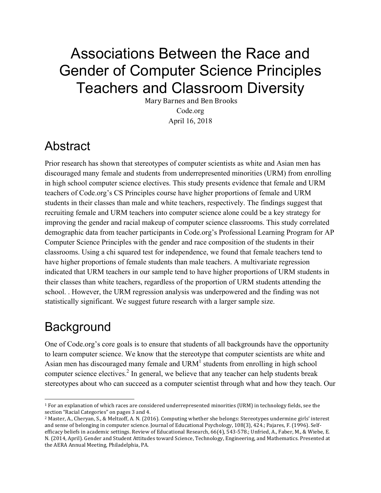# Associations Between the Race and Gender of Computer Science Principles Teachers and Classroom Diversity

Mary Barnes and Ben Brooks Code.org April 16, 2018

## Abstract

Prior research has shown that stereotypes of computer scientists as white and Asian men has discouraged many female and students from underrepresented minorities (URM) from enrolling in high school computer science electives. This study presents evidence that female and URM teachers of Code.org's CS Principles course have higher proportions of female and URM students in their classes than male and white teachers, respectively. The findings suggest that recruiting female and URM teachers into computer science alone could be a key strategy for improving the gender and racial makeup of computer science classrooms. This study correlated demographic data from teacher participants in Code.org's Professional Learning Program for AP Computer Science Principles with the gender and race composition of the students in their classrooms. Using a chi squared test for independence, we found that female teachers tend to have higher proportions of female students than male teachers. A multivariate regression indicated that URM teachers in our sample tend to have higher proportions of URM students in their classes than white teachers, regardless of the proportion of URM students attending the school. . However, the URM regression analysis was underpowered and the finding was not statistically significant. We suggest future research with a larger sample size.

# **Background**

 $\overline{a}$ 

One of Code.org's core goals is to ensure that students of all backgrounds have the opportunity to learn computer science. We know that the stereotype that computer scientists are white and Asian men has discouraged many female and  $\text{URM}^1$  students from enrolling in high school computer science electives.<sup>2</sup> In general, we believe that any teacher can help students break stereotypes about who can succeed as a computer scientist through what and how they teach. Our

<sup>&</sup>lt;sup>1</sup> For an explanation of which races are considered underrepresented minorities (URM) in technology fields, see the section "Racial Categories" on pages 3 and 4.

<sup>&</sup>lt;sup>2</sup> Master, A., Cheryan, S., & Meltzoff, A. N. (2016). Computing whether she belongs: Stereotypes undermine girls' interest and sense of belonging in computer science. Journal of Educational Psychology, 108(3), 424.; Pajares, F. (1996). Selfefficacy beliefs in academic settings. Review of Educational Research, 66(4), 543-578.; Unfried, A., Faber, M., & Wiebe, E. N. (2014, April). Gender and Student Attitudes toward Science, Technology, Engineering, and Mathematics. Presented at the AERA Annual Meeting, Philadelphia, PA.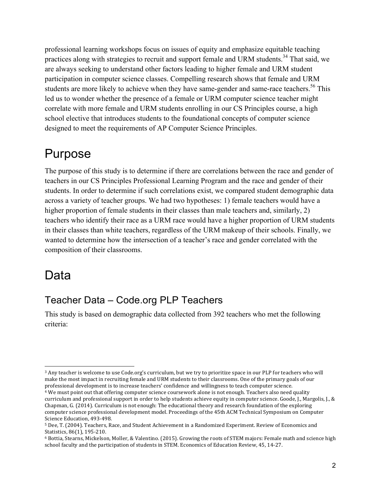professional learning workshops focus on issues of equity and emphasize equitable teaching practices along with strategies to recruit and support female and URM students.<sup>34</sup> That said, we are always seeking to understand other factors leading to higher female and URM student participation in computer science classes. Compelling research shows that female and URM students are more likely to achieve when they have same-gender and same-race teachers.<sup>56</sup> This led us to wonder whether the presence of a female or URM computer science teacher might correlate with more female and URM students enrolling in our CS Principles course, a high school elective that introduces students to the foundational concepts of computer science designed to meet the requirements of AP Computer Science Principles.

### Purpose

The purpose of this study is to determine if there are correlations between the race and gender of teachers in our CS Principles Professional Learning Program and the race and gender of their students. In order to determine if such correlations exist, we compared student demographic data across a variety of teacher groups. We had two hypotheses: 1) female teachers would have a higher proportion of female students in their classes than male teachers and, similarly, 2) teachers who identify their race as a URM race would have a higher proportion of URM students in their classes than white teachers, regardless of the URM makeup of their schools. Finally, we wanted to determine how the intersection of a teacher's race and gender correlated with the composition of their classrooms.

## Data

### Teacher Data – Code.org PLP Teachers

This study is based on demographic data collected from 392 teachers who met the following criteria:

<sup>3</sup> Any teacher is welcome to use Code.org's curriculum, but we try to prioritize space in our PLP for teachers who will make the most impact in recruiting female and URM students to their classrooms. One of the primary goals of our professional development is to increase teachers' confidence and willingness to teach computer science.

<sup>&</sup>lt;sup>4</sup> We must point out that offering computer science coursework alone is not enough. Teachers also need quality curriculum and professional support in order to help students achieve equity in computer science. Goode, J., Margolis, J., & Chapman, G. (2014). Curriculum is not enough: The educational theory and research foundation of the exploring computer science professional development model. Proceedings of the 45th ACM Technical Symposium on Computer Science Education, 493-498.

<sup>5</sup> Dee, T. (2004). Teachers, Race, and Student Achievement in a Randomized Experiment. Review of Economics and Statistics, 86(1), 195-210.

<sup>6</sup> Bottia, Stearns, Mickelson, Moller, & Valentino. (2015). Growing the roots of STEM majors: Female math and science high school faculty and the participation of students in STEM. Economics of Education Review, 45, 14-27.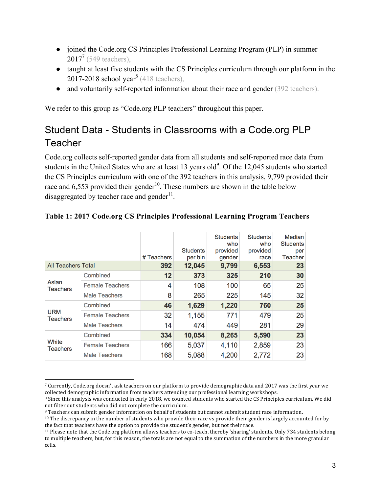- joined the Code.org CS Principles Professional Learning Program (PLP) in summer  $2017^7$  (549 teachers),
- taught at least five students with the CS Principles curriculum through our platform in the 2017-2018 school year<sup>8</sup> (418 teachers),
- and voluntarily self-reported information about their race and gender (392 teachers).

We refer to this group as "Code.org PLP teachers" throughout this paper.

### Student Data - Students in Classrooms with a Code.org PLP **Teacher**

Code.org collects self-reported gender data from all students and self-reported race data from students in the United States who are at least 13 years old<sup>9</sup>. Of the 12,045 students who started the CS Principles curriculum with one of the 392 teachers in this analysis, 9,799 provided their race and  $6,553$  provided their gender<sup>10</sup>. These numbers are shown in the table below disaggregated by teacher race and gender $11$ .

|                               |                        | # Teachers | <b>Students</b><br>per bin | <b>Students</b><br>who<br>provided<br>gender | <b>Students</b><br>who<br>provided<br>race | Median<br><b>Students</b><br>per<br><b>Teacher</b> |
|-------------------------------|------------------------|------------|----------------------------|----------------------------------------------|--------------------------------------------|----------------------------------------------------|
| <b>All Teachers Total</b>     |                        | 392        | 12,045                     | 9,799                                        | 6,553                                      | 23                                                 |
| Asian<br><b>Teachers</b>      | Combined               | 12         | 373                        | 325                                          | 210                                        | 30                                                 |
|                               | <b>Female Teachers</b> | 4          | 108                        | 100                                          | 65                                         | 25                                                 |
|                               | <b>Male Teachers</b>   | 8          | 265                        | 225                                          | 145                                        | 32                                                 |
| <b>URM</b><br><b>Teachers</b> | Combined               | 46         | 1,629                      | 1,220                                        | 760                                        | 25                                                 |
|                               | <b>Female Teachers</b> | 32         | 1,155                      | 771                                          | 479                                        | 25                                                 |
|                               | <b>Male Teachers</b>   | 14         | 474                        | 449                                          | 281                                        | 29                                                 |
| White<br><b>Teachers</b>      | Combined               | 334        | 10,054                     | 8,265                                        | 5,590                                      | 23                                                 |
|                               | <b>Female Teachers</b> | 166        | 5,037                      | 4,110                                        | 2,859                                      | 23                                                 |
|                               | <b>Male Teachers</b>   | 168        | 5,088                      | 4,200                                        | 2,772                                      | 23                                                 |

#### **Table 1: 2017 Code.org CS Principles Professional Learning Program Teachers**

<sup>7</sup> Currently, Code.org doesn't ask teachers on our platform to provide demographic data and 2017 was the first year we collected demographic information from teachers attending our professional learning workshops.

<sup>&</sup>lt;sup>8</sup> Since this analysis was conducted in early 2018, we counted students who started the CS Principles curriculum. We did not filter out students who did not complete the curriculum.

<sup>&</sup>lt;sup>9</sup> Teachers can submit gender information on behalf of students but cannot submit student race information.

 $10$  The discrepancy in the number of students who provide their race vs provide their gender is largely accounted for by the fact that teachers have the option to provide the student's gender, but not their race.

<sup>11</sup> Please note that the Code.org platform allows teachers to co-teach, thereby 'sharing' students. Only 734 students belong to multiple teachers, but, for this reason, the totals are not equal to the summation of the numbers in the more granular cells.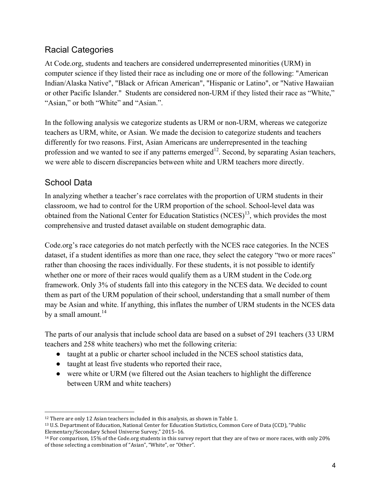#### Racial Categories

At Code.org, students and teachers are considered underrepresented minorities (URM) in computer science if they listed their race as including one or more of the following: "American Indian/Alaska Native", "Black or African American", "Hispanic or Latino", or "Native Hawaiian or other Pacific Islander." Students are considered non-URM if they listed their race as "White," "Asian," or both "White" and "Asian.".

In the following analysis we categorize students as URM or non-URM, whereas we categorize teachers as URM, white, or Asian. We made the decision to categorize students and teachers differently for two reasons. First, Asian Americans are underrepresented in the teaching profession and we wanted to see if any patterns emerged<sup>12</sup>. Second, by separating Asian teachers, we were able to discern discrepancies between white and URM teachers more directly.

#### School Data

In analyzing whether a teacher's race correlates with the proportion of URM students in their classroom, we had to control for the URM proportion of the school. School-level data was obtained from the National Center for Education Statistics  $(NCES)^{13}$ , which provides the most comprehensive and trusted dataset available on student demographic data.

Code.org's race categories do not match perfectly with the NCES race categories. In the NCES dataset, if a student identifies as more than one race, they select the category "two or more races" rather than choosing the races individually. For these students, it is not possible to identify whether one or more of their races would qualify them as a URM student in the Code.org framework. Only 3% of students fall into this category in the NCES data. We decided to count them as part of the URM population of their school, understanding that a small number of them may be Asian and white. If anything, this inflates the number of URM students in the NCES data by a small amount. $^{14}$ 

The parts of our analysis that include school data are based on a subset of 291 teachers (33 URM teachers and 258 white teachers) who met the following criteria:

- taught at a public or charter school included in the NCES school statistics data,
- taught at least five students who reported their race,
- were white or URM (we filtered out the Asian teachers to highlight the difference between URM and white teachers)

 $12$  There are only 12 Asian teachers included in this analysis, as shown in Table 1.

<sup>&</sup>lt;sup>13</sup> U.S. Department of Education, National Center for Education Statistics, Common Core of Data (CCD), "Public Elementary/Secondary School Universe Survey," 2015-16.

<sup>&</sup>lt;sup>14</sup> For comparison, 15% of the Code.org students in this survey report that they are of two or more races, with only 20% of those selecting a combination of "Asian", "White", or "Other".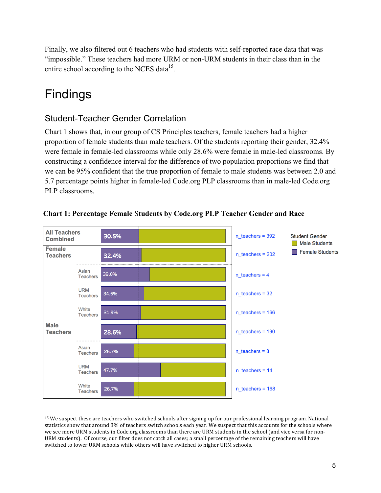Finally, we also filtered out 6 teachers who had students with self-reported race data that was "impossible." These teachers had more URM or non-URM students in their class than in the entire school according to the NCES data $^{15}$ .

# Findings

#### Student-Teacher Gender Correlation

Chart 1 shows that, in our group of CS Principles teachers, female teachers had a higher proportion of female students than male teachers. Of the students reporting their gender, 32.4% were female in female-led classrooms while only 28.6% were female in male-led classrooms. By constructing a confidence interval for the difference of two population proportions we find that we can be 95% confident that the true proportion of female to male students was between 2.0 and 5.7 percentage points higher in female-led Code.org PLP classrooms than in male-led Code.org PLP classrooms.



#### **Chart 1: Percentage Female** S**tudents by Code.org PLP Teacher Gender and Race**

<sup>&</sup>lt;sup>15</sup> We suspect these are teachers who switched schools after signing up for our professional learning program. National statistics show that around 8% of teachers switch schools each year. We suspect that this accounts for the schools where we see more URM students in Code.org classrooms than there are URM students in the school (and vice versa for non-URM students). Of course, our filter does not catch all cases; a small percentage of the remaining teachers will have switched to lower URM schools while others will have switched to higher URM schools.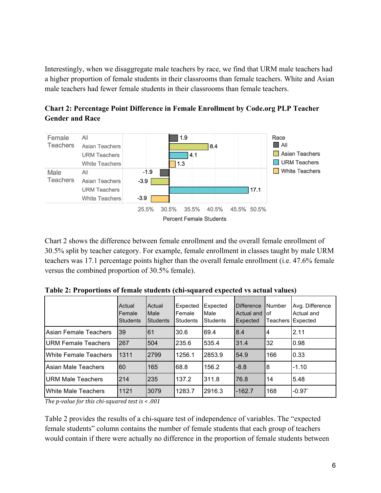Interestingly, when we disaggregate male teachers by race, we find that URM male teachers had a higher proportion of female students in their classrooms than female teachers. White and Asian male teachers had fewer female students in their classrooms than female teachers.



**Chart 2: Percentage Point Difference in Female Enrollment by Code.org PLP Teacher Gender and Race**

Chart 2 shows the difference between female enrollment and the overall female enrollment of 30.5% split by teacher category. For example, female enrollment in classes taught by male URM teachers was 17.1 percentage points higher than the overall female enrollment (i.e. 47.6% female versus the combined proportion of 30.5% female).

|                          | Actual<br>Female<br><b>Students</b> | Actual<br>Male<br><b>Students</b> | Expected<br>Female<br><b>Students</b> | Expected<br>Male<br>Students | <b>Difference</b><br>Actual and<br>Expected | <b>Number</b><br>lof<br><b>Teachers</b> | Avg. Difference<br>Actual and<br>Expected |
|--------------------------|-------------------------------------|-----------------------------------|---------------------------------------|------------------------------|---------------------------------------------|-----------------------------------------|-------------------------------------------|
| Asian Female Teachers    | 39                                  | 61                                | 30.6                                  | 69.4                         | 8.4                                         | 4                                       | 2.11                                      |
| URM Female Teachers      | 267                                 | 504                               | 235.6                                 | 535.4                        | 31.4                                        | 32                                      | 0.98                                      |
| White Female Teachers    | 1311                                | 2799                              | 1256.1                                | 2853.9                       | 54.9                                        | 166                                     | 0.33                                      |
| Asian Male Teachers      | 60                                  | 165                               | 68.8                                  | 156.2                        | $-8.8$                                      | 8                                       | $-1.10$                                   |
| <b>URM Male Teachers</b> | 214                                 | 235                               | 137.2                                 | 311.8                        | 76.8                                        | 14                                      | 5.48                                      |
| White Male Teachers      | 1121                                | 3079                              | 1283.7                                | 2916.3                       | $-162.7$                                    | 168                                     | $-0.97$                                   |

**Table 2: Proportions of female students (chi-squared expected vs actual values)** 

The *p*-value for this chi-squared test is  $\lt$  .001

Table 2 provides the results of a chi-square test of independence of variables. The "expected female students" column contains the number of female students that each group of teachers would contain if there were actually no difference in the proportion of female students between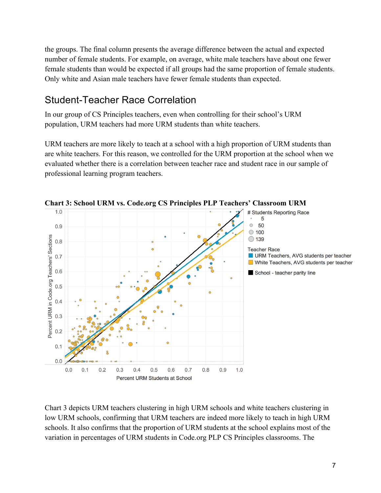the groups. The final column presents the average difference between the actual and expected number of female students. For example, on average, white male teachers have about one fewer female students than would be expected if all groups had the same proportion of female students. Only white and Asian male teachers have fewer female students than expected.

### Student-Teacher Race Correlation

In our group of CS Principles teachers, even when controlling for their school's URM population, URM teachers had more URM students than white teachers.

URM teachers are more likely to teach at a school with a high proportion of URM students than are white teachers. For this reason, we controlled for the URM proportion at the school when we evaluated whether there is a correlation between teacher race and student race in our sample of professional learning program teachers.



**Chart 3: School URM vs. Code.org CS Principles PLP Teachers' Classroom URM**

Chart 3 depicts URM teachers clustering in high URM schools and white teachers clustering in low URM schools, confirming that URM teachers are indeed more likely to teach in high URM schools. It also confirms that the proportion of URM students at the school explains most of the variation in percentages of URM students in Code.org PLP CS Principles classrooms. The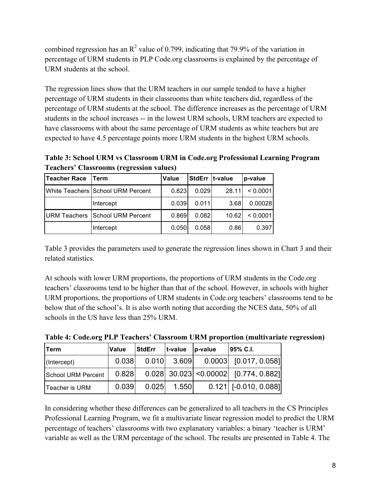combined regression has an  $\mathbb{R}^2$  value of 0.799, indicating that 79.9% of the variation in percentage of URM students in PLP Code.org classrooms is explained by the percentage of URM students at the school.

The regression lines show that the URM teachers in our sample tended to have a higher percentage of URM students in their classrooms than white teachers did, regardless of the percentage of URM students at the school. The difference increases as the percentage of URM students in the school increases -- in the lowest URM schools, URM teachers are expected to have classrooms with about the same percentage of URM students as white teachers but are expected to have 4.5 percentage points more URM students in the highest URM schools.

**Table 3: School URM vs Classroom URM in Code.org Professional Learning Program Teachers' Classrooms (regression values)**

| Teacher Race | <b>Term</b>                            | <b>Value</b> | StdErr  t-value |       | p-value  |
|--------------|----------------------------------------|--------------|-----------------|-------|----------|
|              | White Teachers School URM Percent      | 0.823        | 0.029           | 28.11 | < 0.0001 |
|              | Intercept                              | 0.039        | 0.011           | 3.68  | 0.00028  |
|              | <b>URM Teachers School URM Percent</b> | 0.869        | 0.082           | 10.62 | < 0.0001 |
|              | Intercept                              | 0.050        | 0.058           | 0.86  | 0.397    |

Table 3 provides the parameters used to generate the regression lines shown in Chart 3 and their related statistics.

At schools with lower URM proportions, the proportions of URM students in the Code.org teachers' classrooms tend to be higher than that of the school. However, in schools with higher URM proportions, the proportions of URM students in Code.org teachers' classrooms tend to be below that of the school's. It is also worth noting that according the NCES data, 50% of all schools in the US have less than 25% URM.

| <b>Term</b>        | Value | <b>StdErr</b> | t-value | p-value | 95% C.I.                                |
|--------------------|-------|---------------|---------|---------|-----------------------------------------|
| (Intercept)        | 0.038 |               |         |         | $0.010$ 3.609 0.0003 [0.017, 0.058]     |
| School URM Percent | 0.828 |               |         |         | $0.028$ 30.023 < 0.00002 [0.774, 0.882] |
| Teacher is URM     | 0.039 | 0.025         | 1.550   |         | $0.121$   [-0.010, 0.088]               |

**Table 4: Code.org PLP Teachers' Classroom URM proportion (multivariate regression)**

In considering whether these differences can be generalized to all teachers in the CS Principles Professional Learning Program, we fit a multivariate linear regression model to predict the URM percentage of teachers' classrooms with two explanatory variables: a binary 'teacher is URM' variable as well as the URM percentage of the school. The results are presented in Table 4. The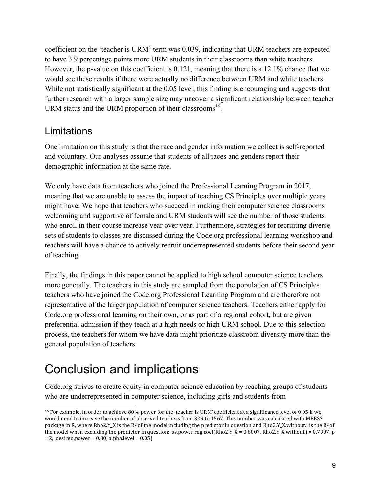coefficient on the 'teacher is URM' term was 0.039, indicating that URM teachers are expected to have 3.9 percentage points more URM students in their classrooms than white teachers. However, the p-value on this coefficient is 0.121, meaning that there is a 12.1% chance that we would see these results if there were actually no difference between URM and white teachers. While not statistically significant at the 0.05 level, this finding is encouraging and suggests that further research with a larger sample size may uncover a significant relationship between teacher URM status and the URM proportion of their classrooms<sup>16</sup>.

#### Limitations

One limitation on this study is that the race and gender information we collect is self-reported and voluntary. Our analyses assume that students of all races and genders report their demographic information at the same rate.

We only have data from teachers who joined the Professional Learning Program in 2017, meaning that we are unable to assess the impact of teaching CS Principles over multiple years might have. We hope that teachers who succeed in making their computer science classrooms welcoming and supportive of female and URM students will see the number of those students who enroll in their course increase year over year. Furthermore, strategies for recruiting diverse sets of students to classes are discussed during the Code.org professional learning workshop and teachers will have a chance to actively recruit underrepresented students before their second year of teaching.

Finally, the findings in this paper cannot be applied to high school computer science teachers more generally. The teachers in this study are sampled from the population of CS Principles teachers who have joined the Code.org Professional Learning Program and are therefore not representative of the larger population of computer science teachers. Teachers either apply for Code.org professional learning on their own, or as part of a regional cohort, but are given preferential admission if they teach at a high needs or high URM school. Due to this selection process, the teachers for whom we have data might prioritize classroom diversity more than the general population of teachers.

# Conclusion and implications

Code.org strives to create equity in computer science education by reaching groups of students who are underrepresented in computer science, including girls and students from

<sup>&</sup>lt;sup>16</sup> For example, in order to achieve 80% power for the 'teacher is URM' coefficient at a significance level of 0.05 if we would need to increase the number of observed teachers from 329 to 1567. This number was calculated with MBESS package in R, where Rho2.Y\_X is the R<sup>2</sup> of the model including the predictor in question and Rho2.Y\_X.without.j is the R<sup>2</sup> of the model when excluding the predictor in question: ss.power.reg.coef(Rho2.Y\_X = 0.8007, Rho2.Y\_X.without.j = 0.7997, p  $= 2$ , desired.power  $= 0.80$ , alpha.level  $= 0.05$ )